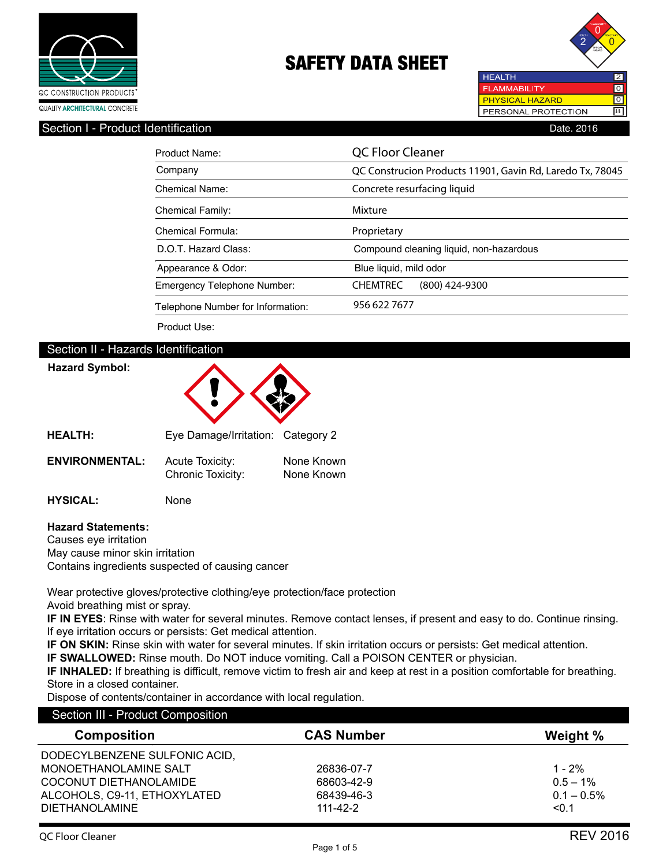



## Section I - Product Identification **Date. 2016** Date. 2016

| Product Name:                      | QC Floor Cleaner                                          |  |  |
|------------------------------------|-----------------------------------------------------------|--|--|
| Company                            | QC Construcion Products 11901, Gavin Rd, Laredo Tx, 78045 |  |  |
| Chemical Name:                     | Concrete resurfacing liquid                               |  |  |
| <b>Chemical Family:</b>            | Mixture                                                   |  |  |
| Chemical Formula:                  | Proprietary                                               |  |  |
| D.O.T. Hazard Class:               | Compound cleaning liquid, non-hazardous                   |  |  |
| Appearance & Odor:                 | Blue liquid, mild odor                                    |  |  |
| <b>Emergency Telephone Number:</b> | <b>CHEMTREC</b><br>$(800)$ 424-9300                       |  |  |
| Telephone Number for Information:  | 956 622 7677                                              |  |  |

Product Use:

# Section II - Hazards Identification

# **Hazard Symbol:**



|                       | $\mathsf{Lyc}$ Damagommanom. Odlogony $\mathsf{L}$ |                          |
|-----------------------|----------------------------------------------------|--------------------------|
| <b>ENVIRONMENTAL:</b> | Acute Toxicity:<br>Chronic Toxicity:               | None Known<br>None Known |

**HYSICAL:** None

## **Hazard Statements:**

Causes eye irritation May cause minor skin irritation Contains ingredients suspected of causing cancer

Wear protective gloves/protective clothing/eye protection/face protection Avoid breathing mist or spray.

**IF IN EYES**: Rinse with water for several minutes. Remove contact lenses, if present and easy to do. Continue rinsing. If eye irritation occurs or persists: Get medical attention.

**IF ON SKIN:** Rinse skin with water for several minutes. If skin irritation occurs or persists: Get medical attention.

**IF SWALLOWED:** Rinse mouth. Do NOT induce vomiting. Call a POISON CENTER or physician.

**IF INHALED:** If breathing is difficult, remove victim to fresh air and keep at rest in a position comfortable for breathing. Store in a closed container.

Dispose of contents/container in accordance with local regulation.

| <b>Composition</b>            | <b>CAS Number</b> | Weight %      |  |
|-------------------------------|-------------------|---------------|--|
| DODECYLBENZENE SULFONIC ACID, |                   |               |  |
| MONOETHANOLAMINE SALT         | 26836-07-7        | $1 - 2\%$     |  |
| COCONUT DIETHANOLAMIDE        | 68603-42-9        | $0.5 - 1\%$   |  |
| ALCOHOLS, C9-11, ETHOXYLATED  | 68439-46-3        | $0.1 - 0.5\%$ |  |
| <b>DIETHANOLAMINE</b>         | $111 - 42 - 2$    | < 0.1         |  |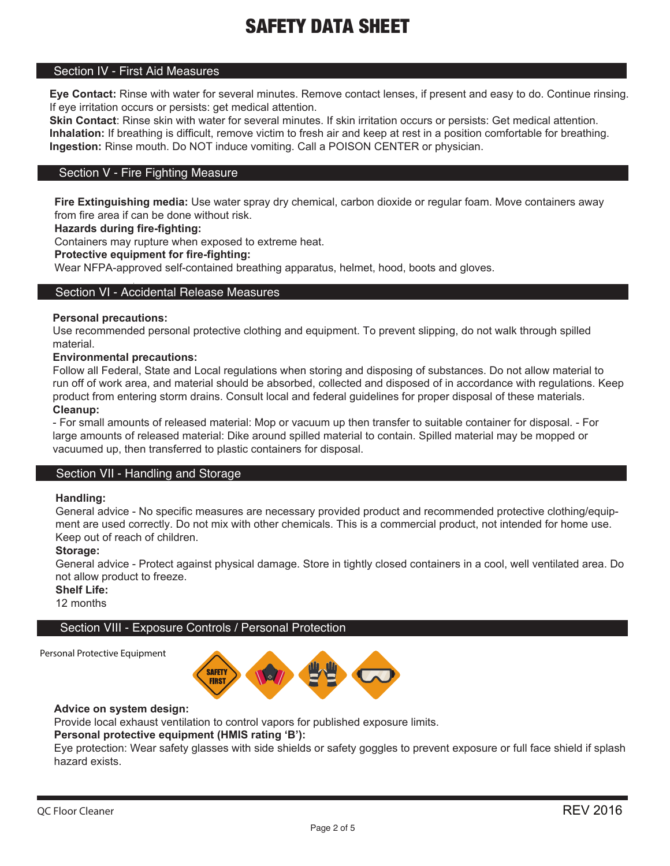# Section IV - First Aid Measures

**Eye Contact:** Rinse with water for several minutes. Remove contact lenses, if present and easy to do. Continue rinsing. If eye irritation occurs or persists: get medical attention.

**Skin Contact**: Rinse skin with water for several minutes. If skin irritation occurs or persists: Get medical attention. **Inhalation:** If breathing is difficult, remove victim to fresh air and keep at rest in a position comfortable for breathing. **Ingestion:** Rinse mouth. Do NOT induce vomiting. Call a POISON CENTER or physician.

## Section V - Fire Fighting Measure

**Fire Extinguishing media:** Use water spray dry chemical, carbon dioxide or regular foam. Move containers away from fire area if can be done without risk.

## **Hazards during fire-fighting:**

Containers may rupture when exposed to extreme heat.

### **Protective equipment for fire-fighting:**

Wear NFPA-approved self-contained breathing apparatus, helmet, hood, boots and gloves.

#### Section VI - Accidental Release Measures

#### **Personal precautions:**

Use recommended personal protective clothing and equipment. To prevent slipping, do not walk through spilled material.

# **Environmental precautions:**

Follow all Federal, State and Local regulations when storing and disposing of substances. Do not allow material to run off of work area, and material should be absorbed, collected and disposed of in accordance with regulations. Keep product from entering storm drains. Consult local and federal guidelines for proper disposal of these materials. **Cleanup:**

- For small amounts of released material: Mop or vacuum up then transfer to suitable container for disposal. - For large amounts of released material: Dike around spilled material to contain. Spilled material may be mopped or vacuumed up, then transferred to plastic containers for disposal.

## Section VII - Handling and Storage

#### **Handling:**

General advice - No specific measures are necessary provided product and recommended protective clothing/equipment are used correctly. Do not mix with other chemicals. This is a commercial product, not intended for home use. Keep out of reach of children.

#### **Storage:**

General advice - Protect against physical damage. Store in tightly closed containers in a cool, well ventilated area. Do not allow product to freeze.

**Shelf Life:**

12 months

# Section VIII - Exposure Controls / Personal Protection

Personal Protective Equipment



# **Advice on system design:**

Provide local exhaust ventilation to control vapors for published exposure limits.

## **Personal protective equipment (HMIS rating 'B'):**

Eye protection: Wear safety glasses with side shields or safety goggles to prevent exposure or full face shield if splash hazard exists.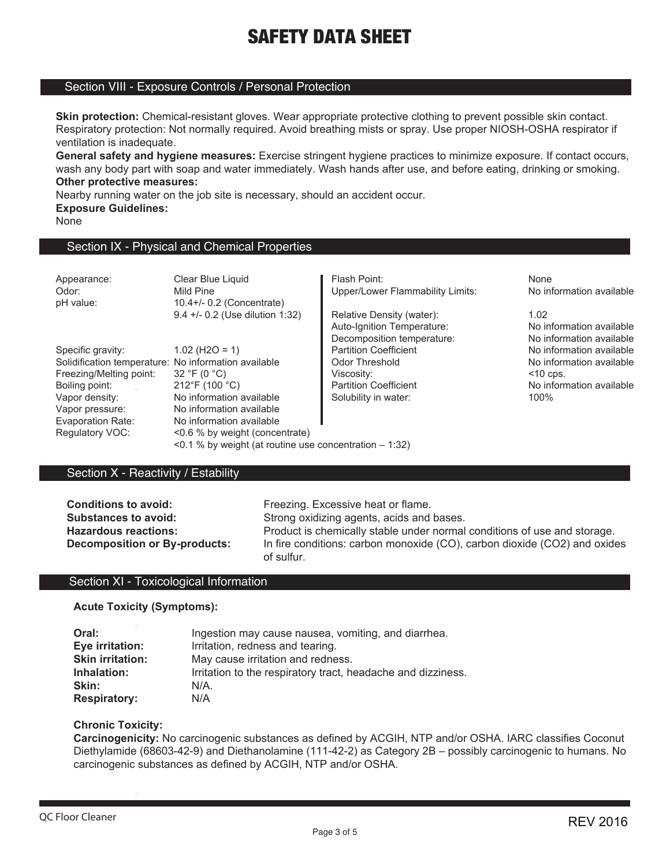## Section VIII - Exposure Controls / Personal Protection

**Skin protection:** Chemical-resistant gloves. Wear appropriate protective clothing to prevent possible skin contact. Respiratory protection: Not normally required. Avoid breathing mists or spray. Use proper NIOSH-OSHA respirator if ventilation is inadequate.

**General safety and hygiene measures:** Exercise stringent hygiene practices to minimize exposure. If contact occurs, wash any body part with soap and water immediately. Wash hands after use, and before eating, drinking or smoking. **Other protective measures:**

Nearby running water on the job site is necessary, should an accident occur.

**Exposure Guidelines:**

None

# Section IX - Physical and Chemical Properties

| Appearance:<br>Odor:<br>pH value:                    | Clear Blue Liquid<br>Mild Pine<br>10.4+/- 0.2 (Concentrate)    | Flash Point:<br>Upper/Lower Flammability Limits:                                      | None<br>No information available                             |
|------------------------------------------------------|----------------------------------------------------------------|---------------------------------------------------------------------------------------|--------------------------------------------------------------|
|                                                      | 9.4 +/- 0.2 (Use dilution 1:32)                                | Relative Density (water):<br>Auto-Ignition Temperature:<br>Decomposition temperature: | 1.02<br>No information available<br>No information available |
| Specific gravity:                                    | $1.02$ (H <sub>2O</sub> = 1)                                   | <b>Partition Coefficient</b>                                                          | No information available                                     |
| Solidification temperature: No information available |                                                                | Odor Threshold                                                                        | No information available                                     |
| Freezing/Melting point:                              | 32 °F (0 $^{\circ}$ C)                                         | Viscosity:                                                                            | $<$ 10 cps.                                                  |
| Boiling point:                                       | $212^{\circ}$ F (100 $^{\circ}$ C)                             | <b>Partition Coefficient</b>                                                          | No information available                                     |
| Vapor density:                                       | No information available                                       | Solubility in water:                                                                  | 100%                                                         |
| Vapor pressure:                                      | No information available                                       |                                                                                       |                                                              |
| Evaporation Rate:                                    | No information available                                       |                                                                                       |                                                              |
| Regulatory VOC:                                      | <0.6 % by weight (concentrate)                                 |                                                                                       |                                                              |
|                                                      | $\leq$ 0.1 % by weight (at routine use concentration $-1:32$ ) |                                                                                       |                                                              |

## Section X - Reactivity / Estability

**Conditions to avoid:** Freezing. Excessive heat or flame.<br> **Substances to avoid:** Strong oxidizing agents, acids and Strong oxidizing agents, acids and bases. **Hazardous reactions:** Product is chemically stable under normal conditions of use and storage. **Decomposition or By-products:** In fire conditions: carbon monoxide (CO), carbon dioxide (CO2) and oxides of sulfur.

## Section XI - Toxicological Information

**Acute Toxicity (Symptoms):**

| Oral:                   | Ingestion may cause nausea, vomiting, and diarrhea.          |
|-------------------------|--------------------------------------------------------------|
| Eye irritation:         | Irritation, redness and tearing.                             |
| <b>Skin irritation:</b> | May cause irritation and redness.                            |
| Inhalation:             | Irritation to the respiratory tract, headache and dizziness. |
| Skin:                   | N/A                                                          |
| <b>Respiratory:</b>     | N/A                                                          |

## **Chronic Toxicity:**

**Carcinogenicity:** No carcinogenic substances as defined by ACGIH, NTP and/or OSHA. IARC classifies Coconut Diethylamide (68603-42-9) and Diethanolamine (111-42-2) as Category 2B – possibly carcinogenic to humans. No carcinogenic substances as defined by ACGIH, NTP and/or OSHA.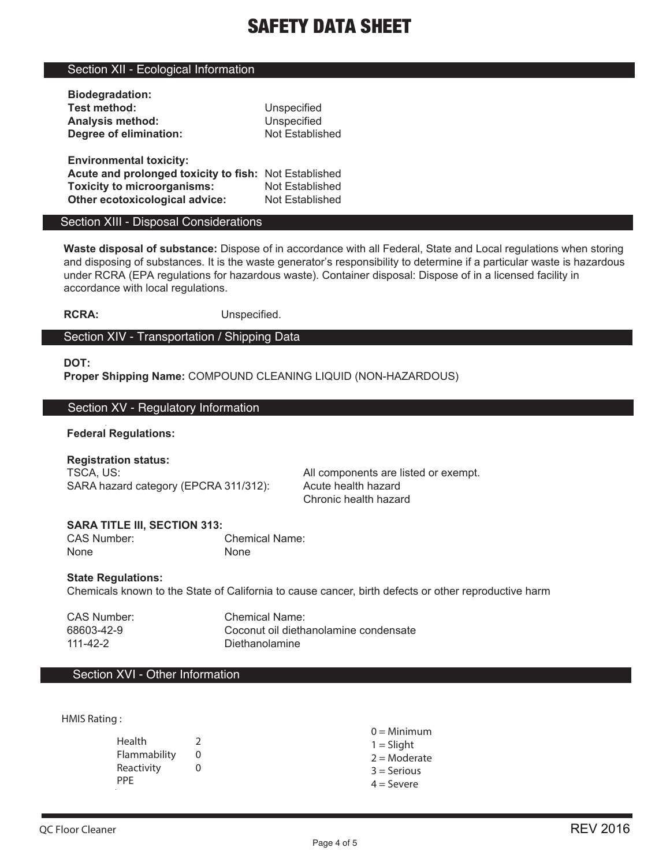# Section XII - Ecological Information

| <b>Biodegradation:</b>                                |                 |
|-------------------------------------------------------|-----------------|
| <b>Test method:</b>                                   | Unspecified     |
| <b>Analysis method:</b>                               | Unspecified     |
| Degree of elimination:                                | Not Established |
|                                                       |                 |
|                                                       |                 |
| <b>Environmental toxicity:</b>                        |                 |
| Acute and prolonged toxicity to fish: Not Established |                 |
| <b>Toxicity to microorganisms:</b>                    | Not Established |

### Section XIII - Disposal Considerations

**Waste disposal of substance:** Dispose of in accordance with all Federal, State and Local regulations when storing and disposing of substances. It is the waste generator's responsibility to determine if a particular waste is hazardous under RCRA (EPA regulations for hazardous waste). Container disposal: Dispose of in a licensed facility in accordance with local regulations.

**RCRA:** Unspecified.

# Section XIV - Transportation / Shipping Data

#### **DOT:**

**Proper Shipping Name:** COMPOUND CLEANING LIQUID (NON-HAZARDOUS)

### Section XV - Regulatory Information

## **Federal Regulations:**

**Registration status:** TSCA, US: All components are listed or exempt. SARA hazard category (EPCRA 311/312): Acute health hazard

Chronic health hazard

# **SARA TITLE III, SECTION 313:**

Chemical Name: None None

## **State Regulations:**

Chemicals known to the State of California to cause cancer, birth defects or other reproductive harm

CAS Number: Chemical Name: 68603-42-9 Coconut oil diethanolamine condensate Diethanolamine

# Section XVI - Other Information

HMIS Rating :

|              | $0 =$ Minimum  |
|--------------|----------------|
| Health       | $1 =$ Slight   |
| Flammability | $2 =$ Moderate |
| Reactivity   | $3 =$ Serious  |
| <b>PPF</b>   | $4 =$ Severe   |
|              |                |